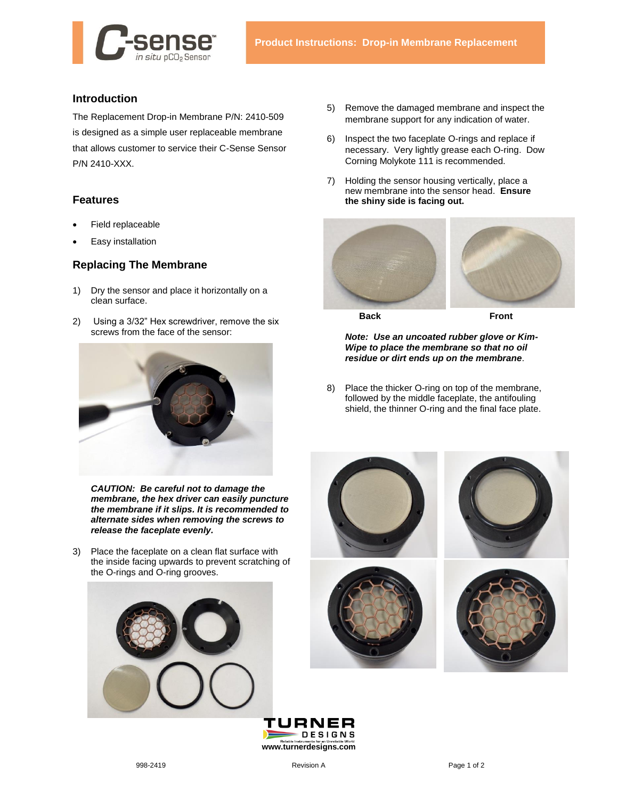

## **Introduction**

The Replacement Drop-in Membrane P/N: 2410-509 is designed as a simple user replaceable membrane that allows customer to service their C-Sense Sensor P/N 2410-XXX.

## **Features**

- Field replaceable
- Easy installation

## **Replacing The Membrane**

- 1) Dry the sensor and place it horizontally on a clean surface.
- 2) Using a 3/32" Hex screwdriver, remove the six screws from the face of the sensor:



*CAUTION: Be careful not to damage the membrane, the hex driver can easily puncture the membrane if it slips. It is recommended to alternate sides when removing the screws to release the faceplate evenly.*

3) Place the faceplate on a clean flat surface with the inside facing upwards to prevent scratching of the O-rings and O-ring grooves.



- 5) Remove the damaged membrane and inspect the membrane support for any indication of water.
- 6) Inspect the two faceplate O-rings and replace if necessary. Very lightly grease each O-ring. Dow Corning Molykote 111 is recommended.
- 7) Holding the sensor housing vertically, place a new membrane into the sensor head. **Ensure the shiny side is facing out.**



**Back Front**

*Note: Use an uncoated rubber glove or Kim-Wipe to place the membrane so that no oil residue or dirt ends up on the membrane*.

8) Place the thicker O-ring on top of the membrane, followed by the middle faceplate, the antifouling shield, the thinner O-ring and the final face plate.